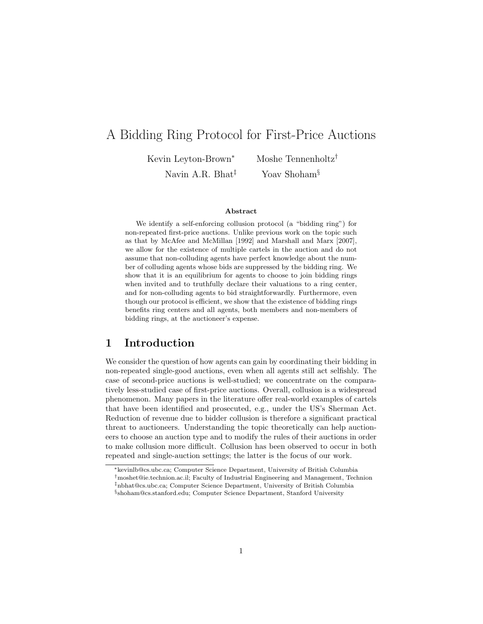# A Bidding Ring Protocol for First-Price Auctions

Kevin Leyton-Brown<sup>∗</sup> Moshe Tennenholtz†

Navin A.R. Bhat<sup> $\ddagger$ </sup> Yoav Shoham<sup>§</sup>

#### Abstract

We identify a self-enforcing collusion protocol (a "bidding ring") for non-repeated first-price auctions. Unlike previous work on the topic such as that by McAfee and McMillan [1992] and Marshall and Marx [2007], we allow for the existence of multiple cartels in the auction and do not assume that non-colluding agents have perfect knowledge about the number of colluding agents whose bids are suppressed by the bidding ring. We show that it is an equilibrium for agents to choose to join bidding rings when invited and to truthfully declare their valuations to a ring center, and for non-colluding agents to bid straightforwardly. Furthermore, even though our protocol is efficient, we show that the existence of bidding rings benefits ring centers and all agents, both members and non-members of bidding rings, at the auctioneer's expense.

### 1 Introduction

We consider the question of how agents can gain by coordinating their bidding in non-repeated single-good auctions, even when all agents still act selfishly. The case of second-price auctions is well-studied; we concentrate on the comparatively less-studied case of first-price auctions. Overall, collusion is a widespread phenomenon. Many papers in the literature offer real-world examples of cartels that have been identified and prosecuted, e.g., under the US's Sherman Act. Reduction of revenue due to bidder collusion is therefore a significant practical threat to auctioneers. Understanding the topic theoretically can help auctioneers to choose an auction type and to modify the rules of their auctions in order to make collusion more difficult. Collusion has been observed to occur in both repeated and single-auction settings; the latter is the focus of our work.

<sup>∗</sup>kevinlb@cs.ubc.ca; Computer Science Department, University of British Columbia

 $^\dagger$ moshet@ie.technion.ac.il; Faculty of Industrial Engineering and Management, Technion

<sup>‡</sup>nbhat@cs.ubc.ca; Computer Science Department, University of British Columbia

<sup>§</sup> shoham@cs.stanford.edu; Computer Science Department, Stanford University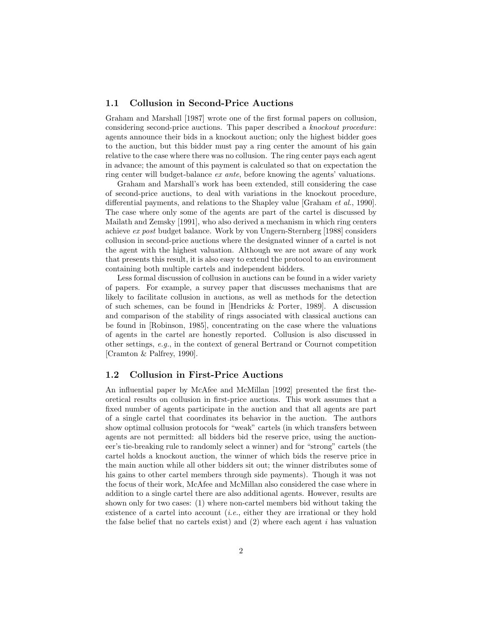#### 1.1 Collusion in Second-Price Auctions

Graham and Marshall [1987] wrote one of the first formal papers on collusion, considering second-price auctions. This paper described a knockout procedure: agents announce their bids in a knockout auction; only the highest bidder goes to the auction, but this bidder must pay a ring center the amount of his gain relative to the case where there was no collusion. The ring center pays each agent in advance; the amount of this payment is calculated so that on expectation the ring center will budget-balance ex ante, before knowing the agents' valuations.

Graham and Marshall's work has been extended, still considering the case of second-price auctions, to deal with variations in the knockout procedure, differential payments, and relations to the Shapley value [Graham et al., 1990]. The case where only some of the agents are part of the cartel is discussed by Mailath and Zemsky [1991], who also derived a mechanism in which ring centers achieve ex post budget balance. Work by von Ungern-Sternberg [1988] considers collusion in second-price auctions where the designated winner of a cartel is not the agent with the highest valuation. Although we are not aware of any work that presents this result, it is also easy to extend the protocol to an environment containing both multiple cartels and independent bidders.

Less formal discussion of collusion in auctions can be found in a wider variety of papers. For example, a survey paper that discusses mechanisms that are likely to facilitate collusion in auctions, as well as methods for the detection of such schemes, can be found in [Hendricks & Porter, 1989]. A discussion and comparison of the stability of rings associated with classical auctions can be found in [Robinson, 1985], concentrating on the case where the valuations of agents in the cartel are honestly reported. Collusion is also discussed in other settings, e.g., in the context of general Bertrand or Cournot competition [Cramton & Palfrey, 1990].

#### 1.2 Collusion in First-Price Auctions

An influential paper by McAfee and McMillan [1992] presented the first theoretical results on collusion in first-price auctions. This work assumes that a fixed number of agents participate in the auction and that all agents are part of a single cartel that coordinates its behavior in the auction. The authors show optimal collusion protocols for "weak" cartels (in which transfers between agents are not permitted: all bidders bid the reserve price, using the auctioneer's tie-breaking rule to randomly select a winner) and for "strong" cartels (the cartel holds a knockout auction, the winner of which bids the reserve price in the main auction while all other bidders sit out; the winner distributes some of his gains to other cartel members through side payments). Though it was not the focus of their work, McAfee and McMillan also considered the case where in addition to a single cartel there are also additional agents. However, results are shown only for two cases: (1) where non-cartel members bid without taking the existence of a cartel into account *(i.e., either they are irrational or they hold* the false belief that no cartels exist) and  $(2)$  where each agent i has valuation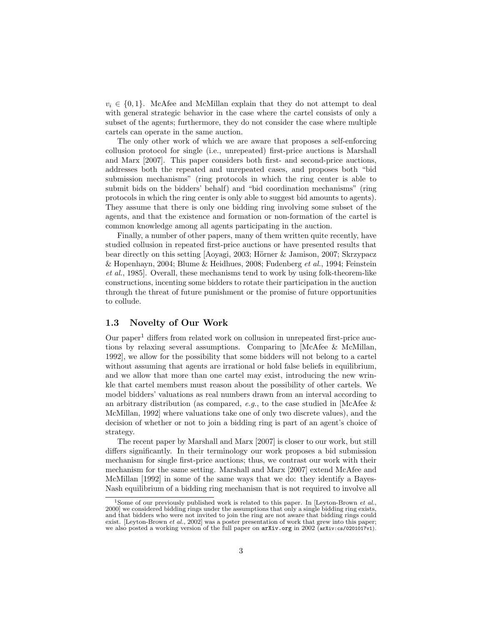$v_i \in \{0,1\}$ . McAfee and McMillan explain that they do not attempt to deal with general strategic behavior in the case where the cartel consists of only a subset of the agents; furthermore, they do not consider the case where multiple cartels can operate in the same auction.

The only other work of which we are aware that proposes a self-enforcing collusion protocol for single (i.e., unrepeated) first-price auctions is Marshall and Marx [2007]. This paper considers both first- and second-price auctions, addresses both the repeated and unrepeated cases, and proposes both "bid submission mechanisms" (ring protocols in which the ring center is able to submit bids on the bidders' behalf) and "bid coordination mechanisms" (ring protocols in which the ring center is only able to suggest bid amounts to agents). They assume that there is only one bidding ring involving some subset of the agents, and that the existence and formation or non-formation of the cartel is common knowledge among all agents participating in the auction.

Finally, a number of other papers, many of them written quite recently, have studied collusion in repeated first-price auctions or have presented results that bear directly on this setting [Aoyagi, 2003; Hörner & Jamison, 2007; Skrzypacz & Hopenhayn, 2004; Blume & Heidhues, 2008; Fudenberg et al., 1994; Feinstein et al., 1985]. Overall, these mechanisms tend to work by using folk-theorem-like constructions, incenting some bidders to rotate their participation in the auction through the threat of future punishment or the promise of future opportunities to collude.

#### 1.3 Novelty of Our Work

Our paper<sup>1</sup> differs from related work on collusion in unrepeated first-price auctions by relaxing several assumptions. Comparing to [McAfee & McMillan, 1992], we allow for the possibility that some bidders will not belong to a cartel without assuming that agents are irrational or hold false beliefs in equilibrium, and we allow that more than one cartel may exist, introducing the new wrinkle that cartel members must reason about the possibility of other cartels. We model bidders' valuations as real numbers drawn from an interval according to an arbitrary distribution (as compared, e.g., to the case studied in [McAfee  $\&$ McMillan, 1992] where valuations take one of only two discrete values), and the decision of whether or not to join a bidding ring is part of an agent's choice of strategy.

The recent paper by Marshall and Marx [2007] is closer to our work, but still differs significantly. In their terminology our work proposes a bid submission mechanism for single first-price auctions; thus, we contrast our work with their mechanism for the same setting. Marshall and Marx [2007] extend McAfee and McMillan [1992] in some of the same ways that we do: they identify a Bayes-Nash equilibrium of a bidding ring mechanism that is not required to involve all

<sup>&</sup>lt;sup>1</sup>Some of our previously published work is related to this paper. In [Leyton-Brown *et al.*, 2000] we considered bidding rings under the assumptions that only a single bidding ring exists, and that bidders who were not invited to join the ring are not aware that bidding rings could exist. [Leyton-Brown *et al.*, 2002] was a poster presentation of work that grew into this paper; we also posted a working version of the full paper on  $arXiv.org$  in 2002 ( $arXiv.cs/0201017v1$ ).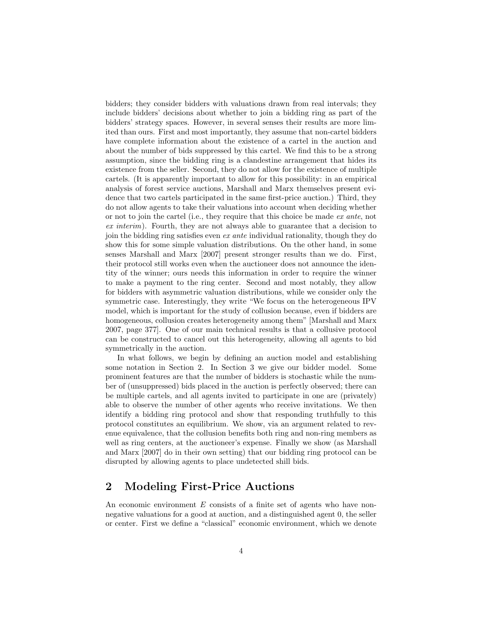bidders; they consider bidders with valuations drawn from real intervals; they include bidders' decisions about whether to join a bidding ring as part of the bidders' strategy spaces. However, in several senses their results are more limited than ours. First and most importantly, they assume that non-cartel bidders have complete information about the existence of a cartel in the auction and about the number of bids suppressed by this cartel. We find this to be a strong assumption, since the bidding ring is a clandestine arrangement that hides its existence from the seller. Second, they do not allow for the existence of multiple cartels. (It is apparently important to allow for this possibility: in an empirical analysis of forest service auctions, Marshall and Marx themselves present evidence that two cartels participated in the same first-price auction.) Third, they do not allow agents to take their valuations into account when deciding whether or not to join the cartel (i.e., they require that this choice be made ex ante, not ex interim). Fourth, they are not always able to guarantee that a decision to join the bidding ring satisfies even ex ante individual rationality, though they do show this for some simple valuation distributions. On the other hand, in some senses Marshall and Marx [2007] present stronger results than we do. First, their protocol still works even when the auctioneer does not announce the identity of the winner; ours needs this information in order to require the winner to make a payment to the ring center. Second and most notably, they allow for bidders with asymmetric valuation distributions, while we consider only the symmetric case. Interestingly, they write "We focus on the heterogeneous IPV model, which is important for the study of collusion because, even if bidders are homogeneous, collusion creates heterogeneity among them" [Marshall and Marx 2007, page 377]. One of our main technical results is that a collusive protocol can be constructed to cancel out this heterogeneity, allowing all agents to bid symmetrically in the auction.

In what follows, we begin by defining an auction model and establishing some notation in Section 2. In Section 3 we give our bidder model. Some prominent features are that the number of bidders is stochastic while the number of (unsuppressed) bids placed in the auction is perfectly observed; there can be multiple cartels, and all agents invited to participate in one are (privately) able to observe the number of other agents who receive invitations. We then identify a bidding ring protocol and show that responding truthfully to this protocol constitutes an equilibrium. We show, via an argument related to revenue equivalence, that the collusion benefits both ring and non-ring members as well as ring centers, at the auctioneer's expense. Finally we show (as Marshall and Marx [2007] do in their own setting) that our bidding ring protocol can be disrupted by allowing agents to place undetected shill bids.

## 2 Modeling First-Price Auctions

An economic environment E consists of a finite set of agents who have nonnegative valuations for a good at auction, and a distinguished agent 0, the seller or center. First we define a "classical" economic environment, which we denote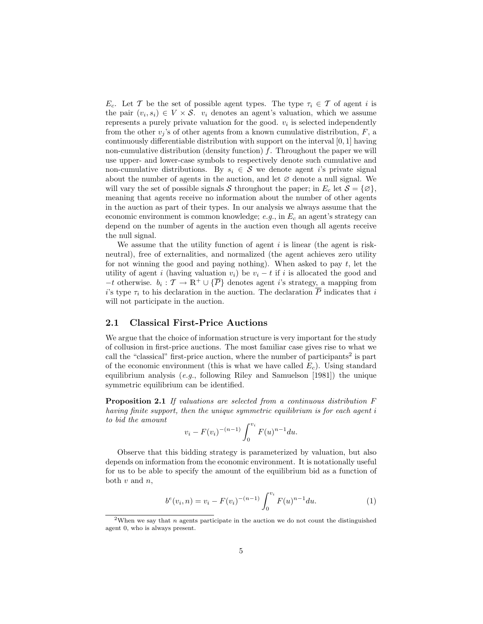$E_c$ . Let T be the set of possible agent types. The type  $\tau_i \in \mathcal{T}$  of agent i is the pair  $(v_i, s_i) \in V \times S$ .  $v_i$  denotes an agent's valuation, which we assume represents a purely private valuation for the good.  $v_i$  is selected independently from the other  $v_j$ 's of other agents from a known cumulative distribution,  $F$ , a continuously differentiable distribution with support on the interval [0, 1] having non-cumulative distribution (density function)  $f$ . Throughout the paper we will use upper- and lower-case symbols to respectively denote such cumulative and non-cumulative distributions. By  $s_i \in \mathcal{S}$  we denote agent i's private signal about the number of agents in the auction, and let  $\varnothing$  denote a null signal. We will vary the set of possible signals S throughout the paper; in  $E_c$  let  $S = \{ \emptyset \},\$ meaning that agents receive no information about the number of other agents in the auction as part of their types. In our analysis we always assume that the economic environment is common knowledge;  $e.g.,$  in  $E<sub>c</sub>$  an agent's strategy can depend on the number of agents in the auction even though all agents receive the null signal.

We assume that the utility function of agent  $i$  is linear (the agent is riskneutral), free of externalities, and normalized (the agent achieves zero utility for not winning the good and paying nothing). When asked to pay  $t$ , let the utility of agent i (having valuation  $v_i$ ) be  $v_i - t$  if i is allocated the good and  $-t$  otherwise.  $b_i: \mathcal{T} \to \mathbb{R}^+ \cup \{\overline{P}\}\$ denotes agent *i*'s strategy, a mapping from i's type  $\tau_i$  to his declaration in the auction. The declaration  $\overline{P}$  indicates that i will not participate in the auction.

#### 2.1 Classical First-Price Auctions

We argue that the choice of information structure is very important for the study of collusion in first-price auctions. The most familiar case gives rise to what we call the "classical" first-price auction, where the number of participants<sup>2</sup> is part of the economic environment (this is what we have called  $E_c$ ). Using standard equilibrium analysis  $(e.g.,\)$  following Riley and Samuelson  $[1981]$ ) the unique symmetric equilibrium can be identified.

Proposition 2.1 If valuations are selected from a continuous distribution F having finite support, then the unique symmetric equilibrium is for each agent i to bid the amount

$$
v_i - F(v_i)^{-(n-1)} \int_0^{v_i} F(u)^{n-1} du.
$$

Observe that this bidding strategy is parameterized by valuation, but also depends on information from the economic environment. It is notationally useful for us to be able to specify the amount of the equilibrium bid as a function of both  $v$  and  $n$ ,

$$
b^{e}(v_{i}, n) = v_{i} - F(v_{i})^{-(n-1)} \int_{0}^{v_{i}} F(u)^{n-1} du.
$$
 (1)

<sup>&</sup>lt;sup>2</sup>When we say that *n* agents participate in the auction we do not count the distinguished agent 0, who is always present.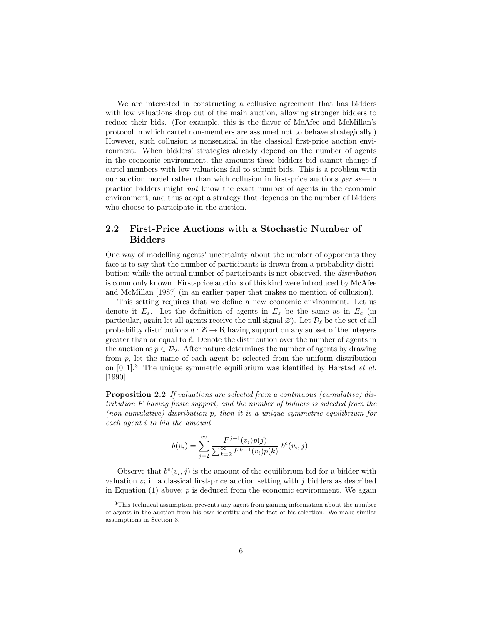We are interested in constructing a collusive agreement that has bidders with low valuations drop out of the main auction, allowing stronger bidders to reduce their bids. (For example, this is the flavor of McAfee and McMillan's protocol in which cartel non-members are assumed not to behave strategically.) However, such collusion is nonsensical in the classical first-price auction environment. When bidders' strategies already depend on the number of agents in the economic environment, the amounts these bidders bid cannot change if cartel members with low valuations fail to submit bids. This is a problem with our auction model rather than with collusion in first-price auctions per  $se$ —in practice bidders might not know the exact number of agents in the economic environment, and thus adopt a strategy that depends on the number of bidders who choose to participate in the auction.

### 2.2 First-Price Auctions with a Stochastic Number of Bidders

One way of modelling agents' uncertainty about the number of opponents they face is to say that the number of participants is drawn from a probability distribution; while the actual number of participants is not observed, the distribution is commonly known. First-price auctions of this kind were introduced by McAfee and McMillan [1987] (in an earlier paper that makes no mention of collusion).

This setting requires that we define a new economic environment. Let us denote it  $E_s$ . Let the definition of agents in  $E_s$  be the same as in  $E_c$  (in particular, again let all agents receive the null signal  $\varnothing$ ). Let  $\mathcal{D}_{\ell}$  be the set of all probability distributions  $d : \mathbb{Z} \to \mathbb{R}$  having support on any subset of the integers greater than or equal to  $\ell$ . Denote the distribution over the number of agents in the auction as  $p \in \mathcal{D}_2$ . After nature determines the number of agents by drawing from p, let the name of each agent be selected from the uniform distribution on  $[0, 1]^3$ . The unique symmetric equilibrium was identified by Harstad *et al.* [1990].

Proposition 2.2 If valuations are selected from a continuous (cumulative) distribution F having finite support, and the number of bidders is selected from the (non-cumulative) distribution p, then it is a unique symmetric equilibrium for each agent i to bid the amount

$$
b(v_i) = \sum_{j=2}^{\infty} \frac{F^{j-1}(v_i)p(j)}{\sum_{k=2}^{\infty} F^{k-1}(v_i)p(k)} b^e(v_i, j).
$$

Observe that  $b^e(v_i, j)$  is the amount of the equilibrium bid for a bidder with valuation  $v_i$  in a classical first-price auction setting with  $j$  bidders as described in Equation  $(1)$  above;  $p$  is deduced from the economic environment. We again

<sup>&</sup>lt;sup>3</sup>This technical assumption prevents any agent from gaining information about the number of agents in the auction from his own identity and the fact of his selection. We make similar assumptions in Section 3.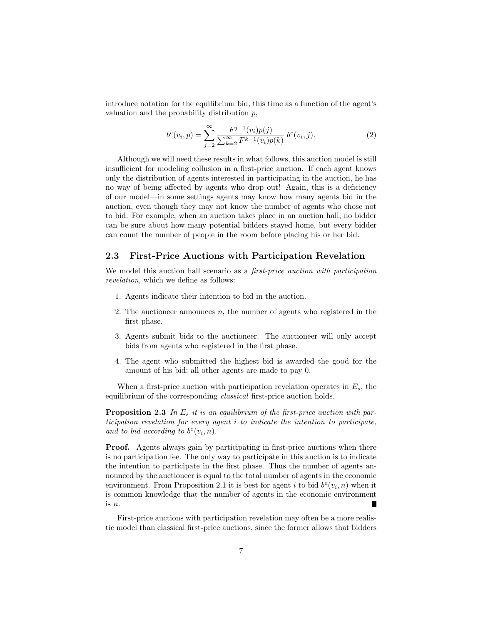introduce notation for the equilibrium bid, this time as a function of the agent's valuation and the probability distribution  $p$ ,

$$
b^{e}(v_{i}, p) = \sum_{j=2}^{\infty} \frac{F^{j-1}(v_{i})p(j)}{\sum_{k=2}^{\infty} F^{k-1}(v_{i})p(k)} b^{e}(v_{i}, j).
$$
 (2)

Although we will need these results in what follows, this auction model is still insufficient for modeling collusion in a first-price auction. If each agent knows only the distribution of agents interested in participating in the auction, he has no way of being affected by agents who drop out! Again, this is a deficiency of our model—in some settings agents may know how many agents bid in the auction, even though they may not know the number of agents who chose not to bid. For example, when an auction takes place in an auction hall, no bidder can be sure about how many potential bidders stayed home, but every bidder can count the number of people in the room before placing his or her bid.

#### 2.3 First-Price Auctions with Participation Revelation

We model this auction hall scenario as a *first-price auction with participation* revelation, which we define as follows:

- 1. Agents indicate their intention to bid in the auction.
- 2. The auctioneer announces  $n$ , the number of agents who registered in the first phase.
- 3. Agents submit bids to the auctioneer. The auctioneer will only accept bids from agents who registered in the first phase.
- 4. The agent who submitted the highest bid is awarded the good for the amount of his bid; all other agents are made to pay 0.

When a first-price auction with participation revelation operates in  $E_s$ , the equilibrium of the corresponding classical first-price auction holds.

**Proposition 2.3** In  $E_s$  it is an equilibrium of the first-price auction with participation revelation for every agent i to indicate the intention to participate, and to bid according to  $b^e(v_i, n)$ .

Proof. Agents always gain by participating in first-price auctions when there is no participation fee. The only way to participate in this auction is to indicate the intention to participate in the first phase. Thus the number of agents announced by the auctioneer is equal to the total number of agents in the economic environment. From Proposition 2.1 it is best for agent i to bid  $b^e(v_i, n)$  when it is common knowledge that the number of agents in the economic environment is n.

First-price auctions with participation revelation may often be a more realistic model than classical first-price auctions, since the former allows that bidders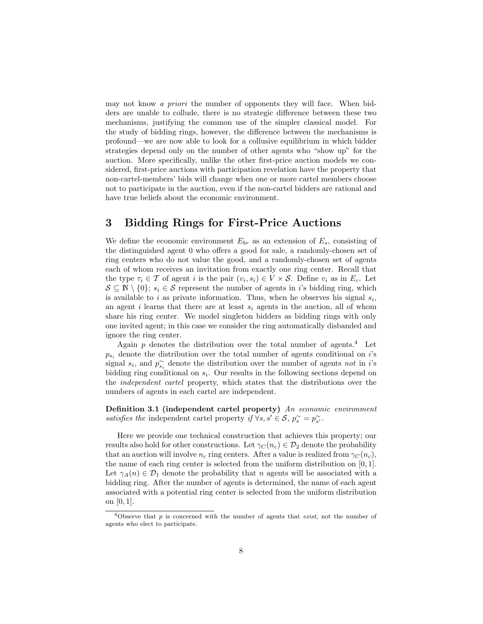may not know a priori the number of opponents they will face. When bidders are unable to collude, there is no strategic difference between these two mechanisms, justifying the common use of the simpler classical model. For the study of bidding rings, however, the difference between the mechanisms is profound—we are now able to look for a collusive equilibrium in which bidder strategies depend only on the number of other agents who "show up" for the auction. More specifically, unlike the other first-price auction models we considered, first-price auctions with participation revelation have the property that non-cartel-members' bids will change when one or more cartel members choose not to participate in the auction, even if the non-cartel bidders are rational and have true beliefs about the economic environment.

## 3 Bidding Rings for First-Price Auctions

We define the economic environment  $E_{br}$  as an extension of  $E_s$ , consisting of the distinguished agent 0 who offers a good for sale, a randomly-chosen set of ring centers who do not value the good, and a randomly-chosen set of agents each of whom receives an invitation from exactly one ring center. Recall that the type  $\tau_i \in \mathcal{T}$  of agent i is the pair  $(v_i, s_i) \in V \times \mathcal{S}$ . Define  $v_i$  as in  $E_c$ . Let  $S \subseteq \mathbb{N} \setminus \{0\}; s_i \in S$  represent the number of agents in i's bidding ring, which is available to i as private information. Thus, when he observes his signal  $s_i$ , an agent i learns that there are at least  $s_i$  agents in the auction, all of whom share his ring center. We model singleton bidders as bidding rings with only one invited agent; in this case we consider the ring automatically disbanded and ignore the ring center.

Again  $p$  denotes the distribution over the total number of agents.<sup>4</sup> Let  $p_{s_i}$  denote the distribution over the total number of agents conditional on i's signal  $s_i$ , and  $p_{s_i}^{\sim}$  denote the distribution over the number of agents not in i's bidding ring conditional on  $s_i$ . Our results in the following sections depend on the independent cartel property, which states that the distributions over the numbers of agents in each cartel are independent.

Definition 3.1 (independent cartel property) An economic environment satisfies the independent cartel property if  $\forall s, s' \in S$ ,  $p_s^{\sim} = p_{s'}^{\sim}$ .

Here we provide one technical construction that achieves this property; our results also hold for other constructions. Let  $\gamma_C(n_c) \in \mathcal{D}_2$  denote the probability that an auction will involve  $n_c$  ring centers. After a value is realized from  $\gamma_C(n_c)$ , the name of each ring center is selected from the uniform distribution on [0, 1]. Let  $\gamma_A(n) \in \mathcal{D}_1$  denote the probability that n agents will be associated with a bidding ring. After the number of agents is determined, the name of each agent associated with a potential ring center is selected from the uniform distribution on [0, 1].

<sup>&</sup>lt;sup>4</sup>Observe that p is concerned with the number of agents that *exist*, not the number of agents who elect to participate.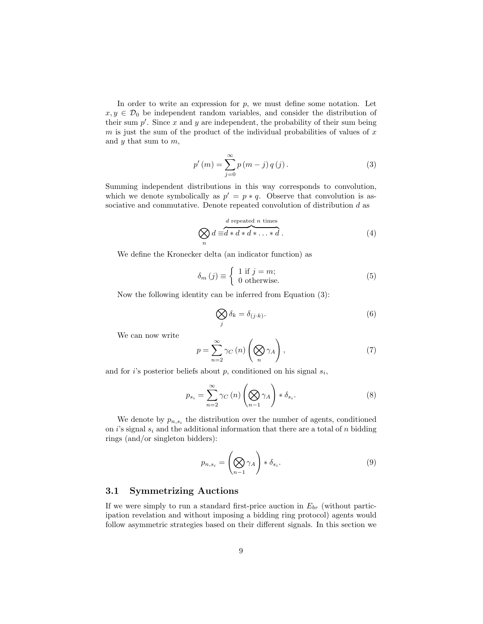In order to write an expression for  $p$ , we must define some notation. Let  $x, y \in \mathcal{D}_0$  be independent random variables, and consider the distribution of their sum  $p'$ . Since x and y are independent, the probability of their sum being  $m$  is just the sum of the product of the individual probabilities of values of  $x$ and  $y$  that sum to  $m$ ,

$$
p'(m) = \sum_{j=0}^{\infty} p(m-j) q(j).
$$
 (3)

Summing independent distributions in this way corresponds to convolution, which we denote symbolically as  $p' = p * q$ . Observe that convolution is associative and commutative. Denote repeated convolution of distribution d as

$$
\bigotimes_{n} d \equiv d * d * d * \dots * d.
$$
 (4)

We define the Kronecker delta (an indicator function) as

$$
\delta_{m}(j) \equiv \begin{cases} 1 \text{ if } j = m; \\ 0 \text{ otherwise.} \end{cases}
$$
 (5)

Now the following identity can be inferred from Equation (3):

$$
\bigotimes_{j} \delta_{k} = \delta_{(j \cdot k)}.
$$
\n(6)

We can now write

$$
p = \sum_{n=2}^{\infty} \gamma_C(n) \left( \bigotimes_{n} \gamma_A \right), \tag{7}
$$

and for *i*'s posterior beliefs about  $p$ , conditioned on his signal  $s_i$ ,

$$
p_{s_i} = \sum_{n=2}^{\infty} \gamma_C(n) \left(\bigotimes_{n=1}^{\infty} \gamma_A\right) * \delta_{s_i}.
$$
 (8)

We denote by  $p_{n,s_i}$  the distribution over the number of agents, conditioned on i's signal  $s_i$  and the additional information that there are a total of n bidding rings (and/or singleton bidders):

$$
p_{n,s_i} = \left(\bigotimes_{n-1} \gamma_A\right) * \delta_{s_i}.
$$
\n(9)

#### 3.1 Symmetrizing Auctions

If we were simply to run a standard first-price auction in  $E_{br}$  (without participation revelation and without imposing a bidding ring protocol) agents would follow asymmetric strategies based on their different signals. In this section we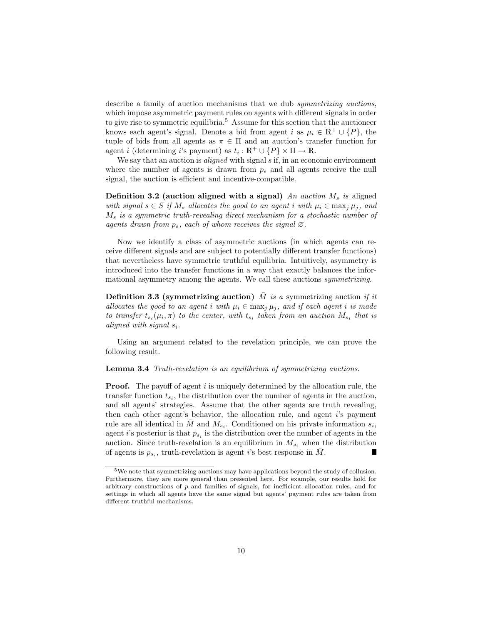describe a family of auction mechanisms that we dub *symmetrizing auctions*, which impose asymmetric payment rules on agents with different signals in order to give rise to symmetric equilibria.<sup>5</sup> Assume for this section that the auctioneer knows each agent's signal. Denote a bid from agent i as  $\mu_i \in \mathbb{R}^+ \cup \{ \overline{P} \}$ , the tuple of bids from all agents as  $\pi \in \Pi$  and an auction's transfer function for agent *i* (determining *i*'s payment) as  $t_i : \mathbb{R}^+ \cup {\overline{P}} \times \Pi \to \mathbb{R}$ .

We say that an auction is *aligned* with signal  $s$  if, in an economic environment where the number of agents is drawn from  $p_s$  and all agents receive the null signal, the auction is efficient and incentive-compatible.

Definition 3.2 (auction aligned with a signal) An auction  $M_s$  is aligned with signal  $s \in S$  if  $M_s$  allocates the good to an agent i with  $\mu_i \in \max_i \mu_j$ , and  $M<sub>s</sub>$  is a symmetric truth-revealing direct mechanism for a stochastic number of agents drawn from  $p_s$ , each of whom receives the signal  $\varnothing$ .

Now we identify a class of asymmetric auctions (in which agents can receive different signals and are subject to potentially different transfer functions) that nevertheless have symmetric truthful equilibria. Intuitively, asymmetry is introduced into the transfer functions in a way that exactly balances the informational asymmetry among the agents. We call these auctions symmetrizing.

**Definition 3.3 (symmetrizing auction)** M is a symmetrizing auction if it allocates the good to an agent i with  $\mu_i \in \max_j \mu_j$ , and if each agent i is made to transfer  $t_{s_i}(\mu_i, \pi)$  to the center, with  $t_{s_i}$  taken from an auction  $M_{s_i}$  that is aligned with signal  $s_i$ .

Using an argument related to the revelation principle, we can prove the following result.

#### Lemma 3.4 Truth-revelation is an equilibrium of symmetrizing auctions.

**Proof.** The payoff of agent i is uniquely determined by the allocation rule, the transfer function  $t_{s_i}$ , the distribution over the number of agents in the auction, and all agents' strategies. Assume that the other agents are truth revealing, then each other agent's behavior, the allocation rule, and agent i's payment rule are all identical in  $\overline{M}$  and  $M_{s_i}$ . Conditioned on his private information  $s_i$ , agent *i*'s posterior is that  $p_{s_i}$  is the distribution over the number of agents in the auction. Since truth-revelation is an equilibrium in  $M_{s_i}$  when the distribution of agents is  $p_{s_i}$ , truth-revelation is agent *i*'s best response in  $\overline{M}$ . и

 $^{5}\mathrm{We}$  note that symmetrizing auctions may have applications beyond the study of collusion. Furthermore, they are more general than presented here. For example, our results hold for arbitrary constructions of p and families of signals, for inefficient allocation rules, and for settings in which all agents have the same signal but agents' payment rules are taken from different truthful mechanisms.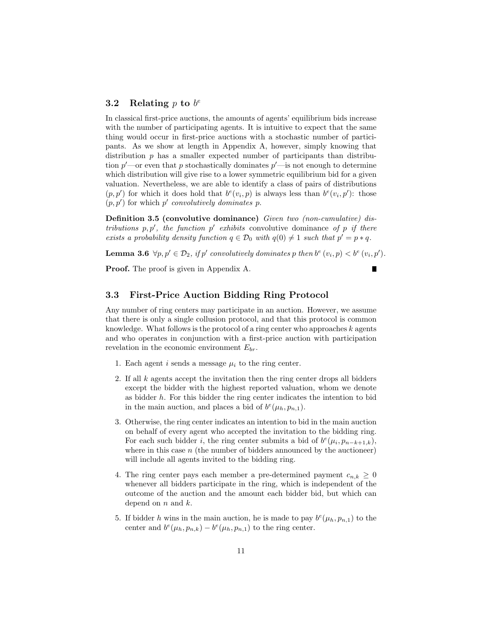### 3.2 Relating  $p$  to  $b^e$

In classical first-price auctions, the amounts of agents' equilibrium bids increase with the number of participating agents. It is intuitive to expect that the same thing would occur in first-price auctions with a stochastic number of participants. As we show at length in Appendix A, however, simply knowing that distribution  $p$  has a smaller expected number of participants than distribution  $p'$ —or even that p stochastically dominates  $p'$ —is not enough to determine which distribution will give rise to a lower symmetric equilibrium bid for a given valuation. Nevertheless, we are able to identify a class of pairs of distributions  $(p, p')$  for which it does hold that  $b^{e}(v_i, p)$  is always less than  $b^{e}(v_i, p')$ : those  $(p, p')$  for which p' convolutively dominates p.

Definition 3.5 (convolutive dominance) Given two (non-cumulative) distributions  $p, p'$ , the function  $p'$  exhibits convolutive dominance of p if there exists a probability density function  $q \in \mathcal{D}_0$  with  $q(0) \neq 1$  such that  $p' = p * q$ .

**Lemma 3.6**  $\forall p, p' \in \mathcal{D}_2$ , if  $p'$  convolutively dominates p then  $b^e(v_i, p) < b^e(v_i, p')$ .

П

Proof. The proof is given in Appendix A.

#### 3.3 First-Price Auction Bidding Ring Protocol

Any number of ring centers may participate in an auction. However, we assume that there is only a single collusion protocol, and that this protocol is common knowledge. What follows is the protocol of a ring center who approaches  $k$  agents and who operates in conjunction with a first-price auction with participation revelation in the economic environment  $E_{br}$ .

- 1. Each agent i sends a message  $\mu_i$  to the ring center.
- 2. If all  $k$  agents accept the invitation then the ring center drops all bidders except the bidder with the highest reported valuation, whom we denote as bidder  $h$ . For this bidder the ring center indicates the intention to bid in the main auction, and places a bid of  $b^e(\mu_h, p_{n,1})$ .
- 3. Otherwise, the ring center indicates an intention to bid in the main auction on behalf of every agent who accepted the invitation to the bidding ring. For each such bidder i, the ring center submits a bid of  $b^{e}(\mu_i, p_{n-k+1,k})$ , where in this case  $n$  (the number of bidders announced by the auctioneer) will include all agents invited to the bidding ring.
- 4. The ring center pays each member a pre-determined payment  $c_{n,k} \geq 0$ whenever all bidders participate in the ring, which is independent of the outcome of the auction and the amount each bidder bid, but which can depend on  $n$  and  $k$ .
- 5. If bidder h wins in the main auction, he is made to pay  $b^{e}(\mu_h, p_{n,1})$  to the center and  $b^{e}(\mu_h, p_{n,k}) - b^{e}(\mu_h, p_{n,1})$  to the ring center.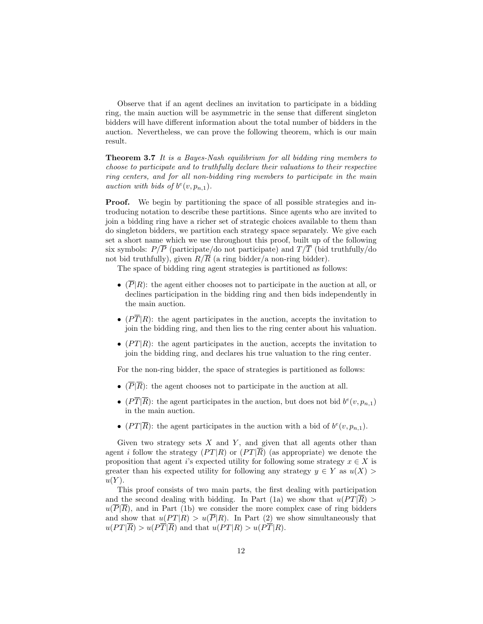Observe that if an agent declines an invitation to participate in a bidding ring, the main auction will be asymmetric in the sense that different singleton bidders will have different information about the total number of bidders in the auction. Nevertheless, we can prove the following theorem, which is our main result.

Theorem 3.7 It is a Bayes-Nash equilibrium for all bidding ring members to choose to participate and to truthfully declare their valuations to their respective ring centers, and for all non-bidding ring members to participate in the main auction with bids of  $b^e(v, p_{n,1})$ .

**Proof.** We begin by partitioning the space of all possible strategies and introducing notation to describe these partitions. Since agents who are invited to join a bidding ring have a richer set of strategic choices available to them than do singleton bidders, we partition each strategy space separately. We give each set a short name which we use throughout this proof, built up of the following six symbols:  $P/\overline{P}$  (participate/do not participate) and  $T/\overline{T}$  (bid truthfully/do not bid truthfully), given  $R/\overline{R}$  (a ring bidder/a non-ring bidder).

The space of bidding ring agent strategies is partitioned as follows:

- $(\overline{P}|R)$ : the agent either chooses not to participate in the auction at all, or declines participation in the bidding ring and then bids independently in the main auction.
- $(P\overline{T}|R)$ : the agent participates in the auction, accepts the invitation to join the bidding ring, and then lies to the ring center about his valuation.
- $(PT|R)$ : the agent participates in the auction, accepts the invitation to join the bidding ring, and declares his true valuation to the ring center.

For the non-ring bidder, the space of strategies is partitioned as follows:

- $(\overline{P}|\overline{R})$ : the agent chooses not to participate in the auction at all.
- $(P\overline{T}|\overline{R})$ : the agent participates in the auction, but does not bid  $b^{e}(v, p_{n,1})$ in the main auction.
- (PT| $\overline{R}$ ): the agent participates in the auction with a bid of  $b^e(v, p_{n,1})$ .

Given two strategy sets  $X$  and  $Y$ , and given that all agents other than agent i follow the strategy  $(PT|R)$  or  $(PT|\overline{R})$  (as appropriate) we denote the proposition that agent i's expected utility for following some strategy  $x \in X$  is greater than his expected utility for following any strategy  $y \in Y$  as  $u(X)$  $u(Y)$ .

This proof consists of two main parts, the first dealing with participation and the second dealing with bidding. In Part (1a) we show that  $u(PT|\overline{R}) >$  $u(\overline{P}|\overline{R})$ , and in Part (1b) we consider the more complex case of ring bidders and show that  $u(PT|R) > u(\overline{P}|R)$ . In Part (2) we show simultaneously that  $u(PT|\overline{R}) > u(P\overline{T}|\overline{R})$  and that  $u(PT|R) > u(P\overline{T}|R)$ .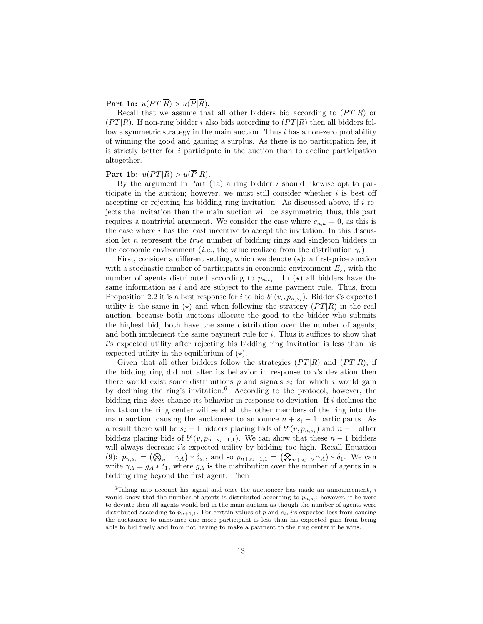Part 1a:  $u(PT|\overline{R}) > u(\overline{P}|\overline{R})$ .

Recall that we assume that all other bidders bid according to  $(PT|\overline{R})$  or  $(PT|R)$ . If non-ring bidder i also bids according to  $(PT|\overline{R})$  then all bidders follow a symmetric strategy in the main auction. Thus  $i$  has a non-zero probability of winning the good and gaining a surplus. As there is no participation fee, it is strictly better for i participate in the auction than to decline participation altogether.

#### Part 1b:  $u(PT|R) > u(\overline{P}|R)$ .

By the argument in Part  $(1a)$  a ring bidder i should likewise opt to participate in the auction; however, we must still consider whether  $i$  is best off accepting or rejecting his bidding ring invitation. As discussed above, if  $i$  rejects the invitation then the main auction will be asymmetric; thus, this part requires a nontrivial argument. We consider the case where  $c_{n,k} = 0$ , as this is the case where  $i$  has the least incentive to accept the invitation. In this discussion let n represent the true number of bidding rings and singleton bidders in the economic environment (*i.e.*, the value realized from the distribution  $\gamma_c$ ).

First, consider a different setting, which we denote  $(\star)$ : a first-price auction with a stochastic number of participants in economic environment  $E_s$ , with the number of agents distributed according to  $p_{n,s_i}$ . In ( $\star$ ) all bidders have the same information as  $i$  and are subject to the same payment rule. Thus, from Proposition 2.2 it is a best response for i to bid  $b^{e}(v_i, p_{n,s_i})$ . Bidder i's expected utility is the same in  $(\star)$  and when following the strategy  $(PT|R)$  in the real auction, because both auctions allocate the good to the bidder who submits the highest bid, both have the same distribution over the number of agents, and both implement the same payment rule for  $i$ . Thus it suffices to show that i's expected utility after rejecting his bidding ring invitation is less than his expected utility in the equilibrium of  $(\star)$ .

Given that all other bidders follow the strategies  $(PT|R)$  and  $(PT|\overline{R})$ , if the bidding ring did not alter its behavior in response to  $i$ 's deviation then there would exist some distributions  $p$  and signals  $s_i$  for which i would gain by declining the ring's invitation.<sup>6</sup> According to the protocol, however, the bidding ring does change its behavior in response to deviation. If i declines the invitation the ring center will send all the other members of the ring into the main auction, causing the auctioneer to announce  $n + s_i - 1$  participants. As a result there will be  $s_i - 1$  bidders placing bids of  $b^e(v, p_{n,s_i})$  and  $n-1$  other bidders placing bids of  $b^e(v, p_{n+s_i-1,1})$ . We can show that these  $n-1$  bidders will always decrease i's expected utility by bidding too high. Recall Equation (9):  $p_{n,s_i} = (\bigotimes_{n=1}^{\infty} \gamma_A) * \delta_{s_i}$ , and so  $p_{n+s_i-1,1} = (\bigotimes_{n+s_i-2} \gamma_A) * \delta_1$ . We can write  $\gamma_A = g_A * \delta_1$ , where  $g_A$  is the distribution over the number of agents in a bidding ring beyond the first agent. Then

 $^6\mbox{{\sc T}aking}$  into account his signal and once the auctioneer has made an announcement,  $i$ would know that the number of agents is distributed according to  $p_{n,s_i}$ ; however, if he were to deviate then all agents would bid in the main auction as though the number of agents were distributed according to  $p_{n+1,1}$ . For certain values of p and  $s_i$ , i's expected loss from causing the auctioneer to announce one more participant is less than his expected gain from being able to bid freely and from not having to make a payment to the ring center if he wins.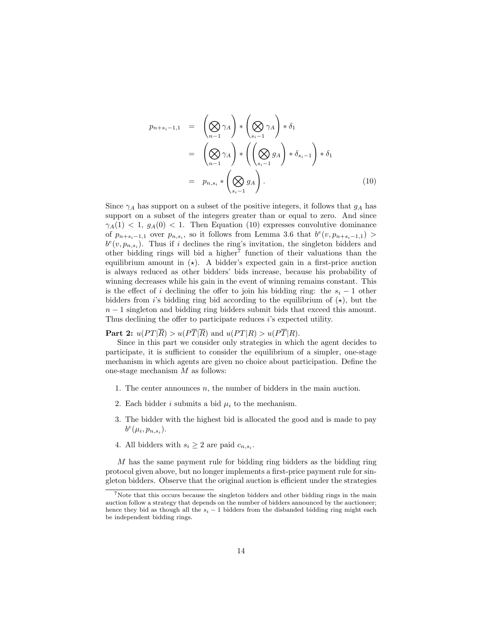$$
p_{n+s_i-1,1} = \left(\bigotimes_{n-1} \gamma_A\right) * \left(\bigotimes_{s_i-1} \gamma_A\right) * \delta_1
$$
  
= 
$$
\left(\bigotimes_{n-1} \gamma_A\right) * \left(\left(\bigotimes_{s_i-1} g_A\right) * \delta_{s_i-1}\right) * \delta_1
$$
  
= 
$$
p_{n,s_i} * \left(\bigotimes_{s_i-1} g_A\right).
$$
 (10)

Since  $\gamma_A$  has support on a subset of the positive integers, it follows that  $g_A$  has support on a subset of the integers greater than or equal to zero. And since  $\gamma_A(1)$  < 1,  $g_A(0)$  < 1. Then Equation (10) expresses convolutive dominance of  $p_{n+s_i-1,1}$  over  $p_{n,s_i}$ , so it follows from Lemma 3.6 that  $b^e(v, p_{n+s_i-1,1})$  $b^e(v, p_{n,s_i})$ . Thus if i declines the ring's invitation, the singleton bidders and other bidding rings will bid a higher<sup>7</sup> function of their valuations than the equilibrium amount in  $(\star)$ . A bidder's expected gain in a first-price auction is always reduced as other bidders' bids increase, because his probability of winning decreases while his gain in the event of winning remains constant. This is the effect of i declining the offer to join his bidding ring: the  $s_i - 1$  other bidders from i's bidding ring bid according to the equilibrium of  $(\star)$ , but the  $n-1$  singleton and bidding ring bidders submit bids that exceed this amount. Thus declining the offer to participate reduces i's expected utility.

**Part 2:**  $u(PT|\overline{R}) > u(P\overline{T}|\overline{R})$  and  $u(PT|R) > u(P\overline{T}|R)$ .

Since in this part we consider only strategies in which the agent decides to participate, it is sufficient to consider the equilibrium of a simpler, one-stage mechanism in which agents are given no choice about participation. Define the one-stage mechanism  $M$  as follows:

- 1. The center announces  $n$ , the number of bidders in the main auction.
- 2. Each bidder i submits a bid  $\mu_i$  to the mechanism.
- 3. The bidder with the highest bid is allocated the good and is made to pay  $b^e(\mu_i, p_{n,s_i}).$
- 4. All bidders with  $s_i \geq 2$  are paid  $c_{n,s_i}$ .

M has the same payment rule for bidding ring bidders as the bidding ring protocol given above, but no longer implements a first-price payment rule for singleton bidders. Observe that the original auction is efficient under the strategies

 $7$ Note that this occurs because the singleton bidders and other bidding rings in the main auction follow a strategy that depends on the number of bidders announced by the auctioneer; hence they bid as though all the  $s_i - 1$  bidders from the disbanded bidding ring might each be independent bidding rings.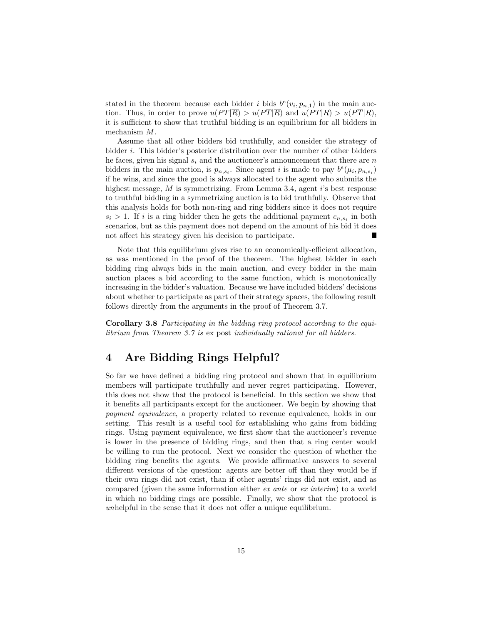stated in the theorem because each bidder i bids  $b^e(v_i, p_{n,1})$  in the main auction. Thus, in order to prove  $u(PT|\overline{R}) > u(P\overline{T}|\overline{R})$  and  $u(PT|R) > u(P\overline{T}|R)$ , it is sufficient to show that truthful bidding is an equilibrium for all bidders in mechanism M.

Assume that all other bidders bid truthfully, and consider the strategy of bidder i. This bidder's posterior distribution over the number of other bidders he faces, given his signal  $s_i$  and the auctioneer's announcement that there are n bidders in the main auction, is  $p_{n,s_i}$ . Since agent *i* is made to pay  $b^e(\mu_i, p_{n,s_i})$ if he wins, and since the good is always allocated to the agent who submits the highest message, M is symmetrizing. From Lemma 3.4, agent i's best response to truthful bidding in a symmetrizing auction is to bid truthfully. Observe that this analysis holds for both non-ring and ring bidders since it does not require  $s_i > 1$ . If i is a ring bidder then he gets the additional payment  $c_{n,s_i}$  in both scenarios, but as this payment does not depend on the amount of his bid it does not affect his strategy given his decision to participate. Г

Note that this equilibrium gives rise to an economically-efficient allocation, as was mentioned in the proof of the theorem. The highest bidder in each bidding ring always bids in the main auction, and every bidder in the main auction places a bid according to the same function, which is monotonically increasing in the bidder's valuation. Because we have included bidders' decisions about whether to participate as part of their strategy spaces, the following result follows directly from the arguments in the proof of Theorem 3.7.

Corollary 3.8 Participating in the bidding ring protocol according to the equilibrium from Theorem 3.7 is ex post individually rational for all bidders.

### 4 Are Bidding Rings Helpful?

So far we have defined a bidding ring protocol and shown that in equilibrium members will participate truthfully and never regret participating. However, this does not show that the protocol is beneficial. In this section we show that it benefits all participants except for the auctioneer. We begin by showing that payment equivalence, a property related to revenue equivalence, holds in our setting. This result is a useful tool for establishing who gains from bidding rings. Using payment equivalence, we first show that the auctioneer's revenue is lower in the presence of bidding rings, and then that a ring center would be willing to run the protocol. Next we consider the question of whether the bidding ring benefits the agents. We provide affirmative answers to several different versions of the question: agents are better off than they would be if their own rings did not exist, than if other agents' rings did not exist, and as compared (given the same information either ex ante or ex interim) to a world in which no bidding rings are possible. Finally, we show that the protocol is unhelpful in the sense that it does not offer a unique equilibrium.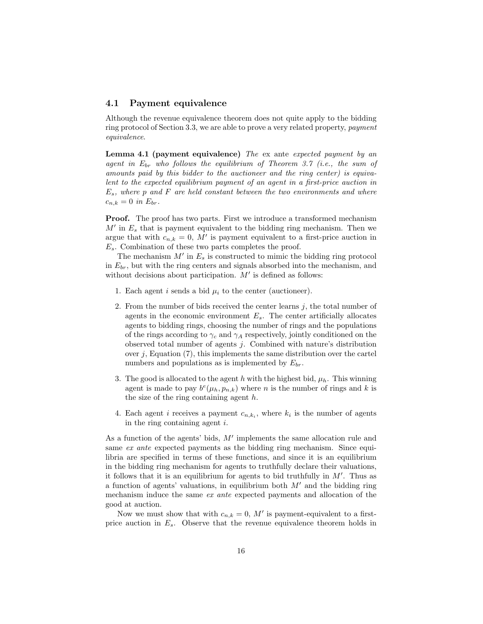#### 4.1 Payment equivalence

Although the revenue equivalence theorem does not quite apply to the bidding ring protocol of Section 3.3, we are able to prove a very related property, payment equivalence.

**Lemma 4.1 (payment equivalence)** The ex ante expected payment by an agent in  $E_{br}$  who follows the equilibrium of Theorem 3.7 (i.e., the sum of amounts paid by this bidder to the auctioneer and the ring center) is equivalent to the expected equilibrium payment of an agent in a first-price auction in  $E_s$ , where p and F are held constant between the two environments and where  $c_{n,k} = 0$  in  $E_{br}$ .

**Proof.** The proof has two parts. First we introduce a transformed mechanism  $M'$  in  $E_s$  that is payment equivalent to the bidding ring mechanism. Then we argue that with  $c_{n,k} = 0$ , M' is payment equivalent to a first-price auction in  $E_s$ . Combination of these two parts completes the proof.

The mechanism  $M'$  in  $E_s$  is constructed to mimic the bidding ring protocol in  $E_{br}$ , but with the ring centers and signals absorbed into the mechanism, and without decisions about participation.  $M'$  is defined as follows:

- 1. Each agent i sends a bid  $\mu_i$  to the center (auctioneer).
- 2. From the number of bids received the center learns  $j$ , the total number of agents in the economic environment  $E_s$ . The center artificially allocates agents to bidding rings, choosing the number of rings and the populations of the rings according to  $\gamma_c$  and  $\gamma_A$  respectively, jointly conditioned on the observed total number of agents j. Combined with nature's distribution over  $j$ , Equation  $(7)$ , this implements the same distribution over the cartel numbers and populations as is implemented by  $E_{br}$ .
- 3. The good is allocated to the agent h with the highest bid,  $\mu_h$ . This winning agent is made to pay  $b^{e}(\mu_h, p_{n,k})$  where n is the number of rings and k is the size of the ring containing agent h.
- 4. Each agent *i* receives a payment  $c_{n,k_i}$ , where  $k_i$  is the number of agents in the ring containing agent i.

As a function of the agents' bids,  $M'$  implements the same allocation rule and same ex ante expected payments as the bidding ring mechanism. Since equilibria are specified in terms of these functions, and since it is an equilibrium in the bidding ring mechanism for agents to truthfully declare their valuations, it follows that it is an equilibrium for agents to bid truthfully in  $M'$ . Thus as a function of agents' valuations, in equilibrium both  $M'$  and the bidding ring mechanism induce the same ex ante expected payments and allocation of the good at auction.

Now we must show that with  $c_{n,k} = 0$ , M' is payment-equivalent to a firstprice auction in  $E_s$ . Observe that the revenue equivalence theorem holds in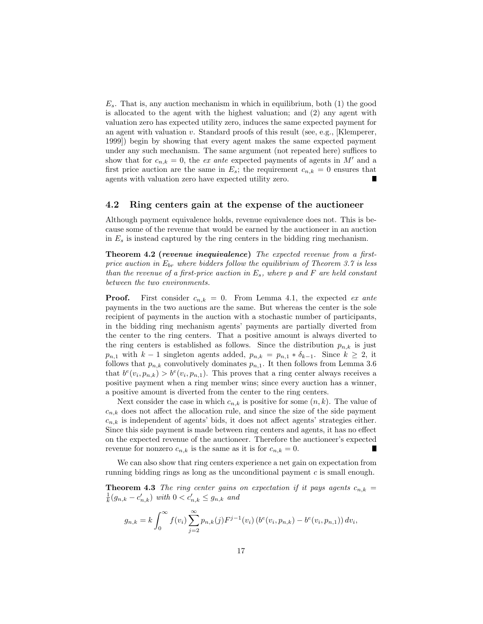$E_s$ . That is, any auction mechanism in which in equilibrium, both (1) the good is allocated to the agent with the highest valuation; and (2) any agent with valuation zero has expected utility zero, induces the same expected payment for an agent with valuation v. Standard proofs of this result (see, e.g., [Klemperer, 1999]) begin by showing that every agent makes the same expected payment under any such mechanism. The same argument (not repeated here) suffices to show that for  $c_{n,k} = 0$ , the ex ante expected payments of agents in M' and a first price auction are the same in  $E_s$ ; the requirement  $c_{n,k} = 0$  ensures that agents with valuation zero have expected utility zero.

#### 4.2 Ring centers gain at the expense of the auctioneer

Although payment equivalence holds, revenue equivalence does not. This is because some of the revenue that would be earned by the auctioneer in an auction in  $E_s$  is instead captured by the ring centers in the bidding ring mechanism.

Theorem 4.2 (revenue inequivalence) The expected revenue from a firstprice auction in  $E_{br}$  where bidders follow the equilibrium of Theorem 3.7 is less than the revenue of a first-price auction in  $E_s$ , where p and F are held constant between the two environments.

**Proof.** First consider  $c_{n,k} = 0$ . From Lemma 4.1, the expected ex ante payments in the two auctions are the same. But whereas the center is the sole recipient of payments in the auction with a stochastic number of participants, in the bidding ring mechanism agents' payments are partially diverted from the center to the ring centers. That a positive amount is always diverted to the ring centers is established as follows. Since the distribution  $p_{n,k}$  is just  $p_{n,1}$  with  $k-1$  singleton agents added,  $p_{n,k} = p_{n,1} * \delta_{k-1}$ . Since  $k \geq 2$ , it follows that  $p_{n,k}$  convolutively dominates  $p_{n,1}$ . It then follows from Lemma 3.6 that  $b^e(v_i, p_{n,k}) > b^e(v_i, p_{n,1})$ . This proves that a ring center always receives a positive payment when a ring member wins; since every auction has a winner, a positive amount is diverted from the center to the ring centers.

Next consider the case in which  $c_{n,k}$  is positive for some  $(n, k)$ . The value of  $c_{n,k}$  does not affect the allocation rule, and since the size of the side payment  $c_{n,k}$  is independent of agents' bids, it does not affect agents' strategies either. Since this side payment is made between ring centers and agents, it has no effect on the expected revenue of the auctioneer. Therefore the auctioneer's expected revenue for nonzero  $c_{n,k}$  is the same as it is for  $c_{n,k} = 0$ . н

We can also show that ring centers experience a net gain on expectation from running bidding rings as long as the unconditional payment  $c$  is small enough.

**Theorem 4.3** The ring center gains on expectation if it pays agents  $c_{n,k}$  =  $\frac{1}{k}(g_{n,k} - c'_{n,k})$  with  $0 < c'_{n,k} \le g_{n,k}$  and

$$
g_{n,k} = k \int_0^\infty f(v_i) \sum_{j=2}^\infty p_{n,k}(j) F^{j-1}(v_i) \left( b^e(v_i, p_{n,k}) - b^e(v_i, p_{n,1}) \right) dv_i,
$$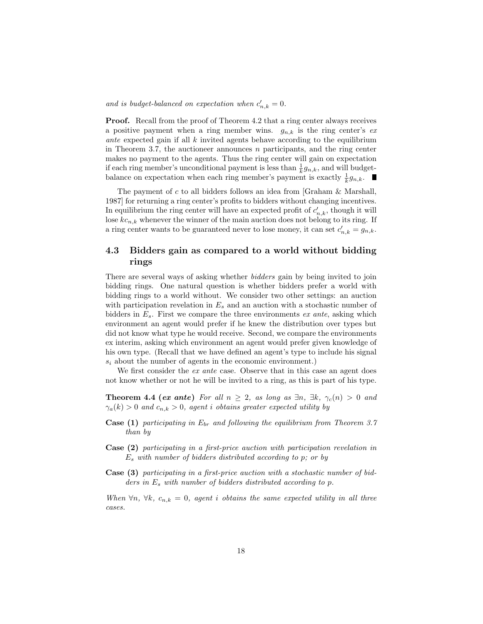and is budget-balanced on expectation when  $c'_{n,k} = 0$ .

Proof. Recall from the proof of Theorem 4.2 that a ring center always receives a positive payment when a ring member wins.  $g_{n,k}$  is the ring center's exante expected gain if all  $k$  invited agents behave according to the equilibrium in Theorem 3.7, the auctioneer announces  $n$  participants, and the ring center makes no payment to the agents. Thus the ring center will gain on expectation if each ring member's unconditional payment is less than  $\frac{1}{k}g_{n,k}$ , and will budgetbalance on expectation when each ring member's payment is exactly  $\frac{1}{k}g_{n,k}$ .

The payment of  $c$  to all bidders follows an idea from [Graham  $\&$  Marshall, 1987] for returning a ring center's profits to bidders without changing incentives. In equilibrium the ring center will have an expected profit of  $c'_{n,k}$ , though it will lose  $kc_{n,k}$  whenever the winner of the main auction does not belong to its ring. If a ring center wants to be guaranteed never to lose money, it can set  $c'_{n,k} = g_{n,k}$ .

### 4.3 Bidders gain as compared to a world without bidding rings

There are several ways of asking whether bidders gain by being invited to join bidding rings. One natural question is whether bidders prefer a world with bidding rings to a world without. We consider two other settings: an auction with participation revelation in  $E_s$  and an auction with a stochastic number of bidders in  $E_s$ . First we compare the three environments ex ante, asking which environment an agent would prefer if he knew the distribution over types but did not know what type he would receive. Second, we compare the environments ex interim, asking which environment an agent would prefer given knowledge of his own type. (Recall that we have defined an agent's type to include his signal  $s_i$  about the number of agents in the economic environment.)

We first consider the *ex ante* case. Observe that in this case an agent does not know whether or not he will be invited to a ring, as this is part of his type.

**Theorem 4.4 (ex ante)** For all  $n \geq 2$ , as long as  $\exists n, \exists k, \gamma_c(n) > 0$  and  $\gamma_a(k) > 0$  and  $c_{n,k} > 0$ , agent *i* obtains greater expected utility by

- **Case (1)** participating in  $E_{br}$  and following the equilibrium from Theorem 3.7 than by
- Case (2) participating in a first-price auction with participation revelation in  $E_s$  with number of bidders distributed according to p; or by
- Case (3) participating in a first-price auction with a stochastic number of bidders in  $E_s$  with number of bidders distributed according to p.

When  $\forall n, \forall k, c_{n,k} = 0$ , agent i obtains the same expected utility in all three cases.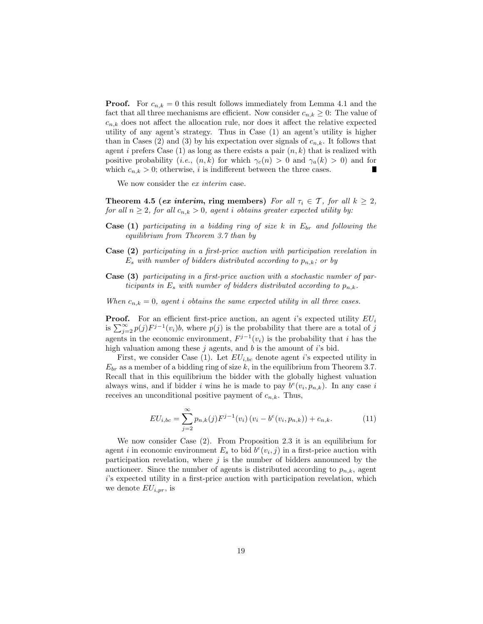**Proof.** For  $c_{n,k} = 0$  this result follows immediately from Lemma 4.1 and the fact that all three mechanisms are efficient. Now consider  $c_{n,k} \geq 0$ : The value of  $c_{n,k}$  does not affect the allocation rule, nor does it affect the relative expected utility of any agent's strategy. Thus in Case (1) an agent's utility is higher than in Cases (2) and (3) by his expectation over signals of  $c_{n,k}$ . It follows that agent i prefers Case  $(1)$  as long as there exists a pair  $(n, k)$  that is realized with positive probability (i.e.,  $(n, k)$  for which  $\gamma_c(n) > 0$  and  $\gamma_a(k) > 0$ ) and for which  $c_{n,k} > 0$ ; otherwise, i is indifferent between the three cases. н

We now consider the *ex interim* case.

Theorem 4.5 (ex interim, ring members) For all  $\tau_i \in \mathcal{T}$ , for all  $k \geq 2$ , for all  $n \geq 2$ , for all  $c_{n,k} > 0$ , agent i obtains greater expected utility by:

- **Case (1)** participating in a bidding ring of size k in  $E_{br}$  and following the equilibrium from Theorem 3.7 than by
- Case (2) participating in a first-price auction with participation revelation in  $E_s$  with number of bidders distributed according to  $p_{n,k}$ ; or by
- Case (3) participating in a first-price auction with a stochastic number of participants in  $E_s$  with number of bidders distributed according to  $p_{n,k}$ .
- When  $c_{n,k} = 0$ , agent *i* obtains the same expected utility in all three cases.

**Proof.** For an efficient first-price auction, an agent i's expected utility  $EU_i$ is  $\sum_{j=2}^{\infty} p(j) F^{j-1}(v_i) b$ , where  $p(j)$  is the probability that there are a total of j agents in the economic environment,  $F^{j-1}(v_i)$  is the probability that i has the high valuation among these  $j$  agents, and  $b$  is the amount of  $i$ 's bid.

First, we consider Case (1). Let  $EU_{i,bc}$  denote agent i's expected utility in  $E_{br}$  as a member of a bidding ring of size k, in the equilibrium from Theorem 3.7. Recall that in this equilibrium the bidder with the globally highest valuation always wins, and if bidder i wins he is made to pay  $b^e(v_i, p_{n,k})$ . In any case i receives an unconditional positive payment of  $c_{n,k}$ . Thus,

$$
EU_{i,bc} = \sum_{j=2}^{\infty} p_{n,k}(j) F^{j-1}(v_i) (v_i - b^e(v_i, p_{n,k})) + c_{n,k}.
$$
 (11)

We now consider Case (2). From Proposition 2.3 it is an equilibrium for agent *i* in economic environment  $E_s$  to bid  $b^e(v_i, j)$  in a first-price auction with participation revelation, where  $j$  is the number of bidders announced by the auctioneer. Since the number of agents is distributed according to  $p_{n,k}$ , agent i's expected utility in a first-price auction with participation revelation, which we denote  $EU_{i,pr}$ , is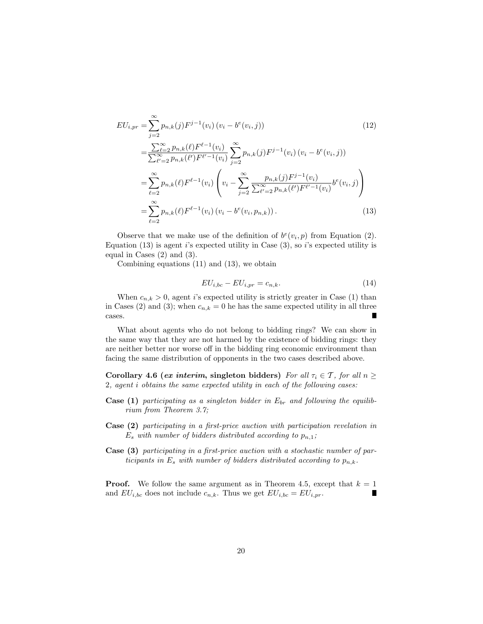$$
EU_{i,pr} = \sum_{j=2}^{\infty} p_{n,k}(j) F^{j-1}(v_i) (v_i - b^e(v_i, j))
$$
(12)  

$$
= \frac{\sum_{\ell=2}^{\infty} p_{n,k}(\ell) F^{\ell-1}(v_i)}{\sum_{\ell'=2}^{\infty} p_{n,k}(\ell') F^{\ell'-1}(v_i)} \sum_{j=2}^{\infty} p_{n,k}(j) F^{j-1}(v_i) (v_i - b^e(v_i, j))
$$
  

$$
= \sum_{\ell=2}^{\infty} p_{n,k}(\ell) F^{\ell-1}(v_i) \left( v_i - \sum_{j=2}^{\infty} \frac{p_{n,k}(j) F^{j-1}(v_i)}{\sum_{\ell'=2}^{\infty} p_{n,k}(\ell') F^{\ell'-1}(v_i)} b^e(v_i, j) \right)
$$
  

$$
= \sum_{\ell=2}^{\infty} p_{n,k}(\ell) F^{\ell-1}(v_i) (v_i - b^e(v_i, p_{n,k})).
$$
(13)

Observe that we make use of the definition of  $b^e(v_i, p)$  from Equation (2). Equation (13) is agent i's expected utility in Case (3), so i's expected utility is equal in Cases (2) and (3).

Combining equations (11) and (13), we obtain

$$
EU_{i,bc} - EU_{i,pr} = c_{n,k}.\tag{14}
$$

When  $c_{n,k} > 0$ , agent i's expected utility is strictly greater in Case (1) than in Cases (2) and (3); when  $c_{n,k} = 0$  he has the same expected utility in all three cases. Г

What about agents who do not belong to bidding rings? We can show in the same way that they are not harmed by the existence of bidding rings: they are neither better nor worse off in the bidding ring economic environment than facing the same distribution of opponents in the two cases described above.

Corollary 4.6 (ex interim, singleton bidders) For all  $\tau_i \in \mathcal{T}$ , for all  $n \geq$ 2, agent i obtains the same expected utility in each of the following cases:

- **Case (1)** participating as a singleton bidder in  $E_{br}$  and following the equilibrium from Theorem 3.7;
- Case (2) participating in a first-price auction with participation revelation in  $E_s$  with number of bidders distributed according to  $p_{n,1}$ ;
- Case (3) participating in a first-price auction with a stochastic number of participants in  $E_s$  with number of bidders distributed according to  $p_{n,k}$ .

**Proof.** We follow the same argument as in Theorem 4.5, except that  $k = 1$ and  $EU_{i,bc}$  does not include  $c_{n,k}$ . Thus we get  $EU_{i,bc} = EU_{i,pr}$ .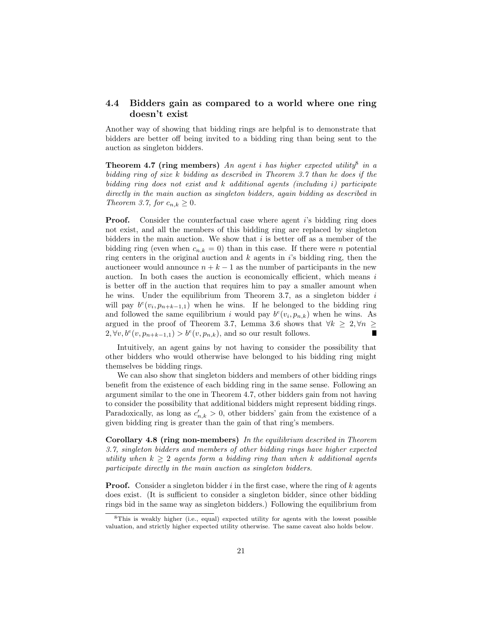#### 4.4 Bidders gain as compared to a world where one ring doesn't exist

Another way of showing that bidding rings are helpful is to demonstrate that bidders are better off being invited to a bidding ring than being sent to the auction as singleton bidders.

**Theorem 4.7 (ring members)** An agent i has higher expected utility<sup>8</sup> in a bidding ring of size k bidding as described in Theorem 3.7 than he does if the bidding ring does not exist and k additional agents (including i) participate directly in the main auction as singleton bidders, again bidding as described in Theorem 3.7, for  $c_{n,k} \geq 0$ .

**Proof.** Consider the counterfactual case where agent is bidding ring does not exist, and all the members of this bidding ring are replaced by singleton bidders in the main auction. We show that  $i$  is better off as a member of the bidding ring (even when  $c_{n,k} = 0$ ) than in this case. If there were *n* potential ring centers in the original auction and  $k$  agents in  $i$ 's bidding ring, then the auctioneer would announce  $n + k - 1$  as the number of participants in the new auction. In both cases the auction is economically efficient, which means  $i$ is better off in the auction that requires him to pay a smaller amount when he wins. Under the equilibrium from Theorem 3.7, as a singleton bidder  $i$ will pay  $b^e(v_i, p_{n+k-1,1})$  when he wins. If he belonged to the bidding ring and followed the same equilibrium i would pay  $b^{e}(v_i, p_{n,k})$  when he wins. As argued in the proof of Theorem 3.7, Lemma 3.6 shows that  $\forall k \geq 2, \forall n \geq 1$  $2, \forall v, b^e(v, p_{n+k-1,1}) > b^e(v, p_{n,k}),$  and so our result follows. г

Intuitively, an agent gains by not having to consider the possibility that other bidders who would otherwise have belonged to his bidding ring might themselves be bidding rings.

We can also show that singleton bidders and members of other bidding rings benefit from the existence of each bidding ring in the same sense. Following an argument similar to the one in Theorem 4.7, other bidders gain from not having to consider the possibility that additional bidders might represent bidding rings. Paradoxically, as long as  $c'_{n,k} > 0$ , other bidders' gain from the existence of a given bidding ring is greater than the gain of that ring's members.

Corollary 4.8 (ring non-members) In the equilibrium described in Theorem 3.7, singleton bidders and members of other bidding rings have higher expected utility when  $k \geq 2$  agents form a bidding ring than when k additional agents participate directly in the main auction as singleton bidders.

**Proof.** Consider a singleton bidder  $i$  in the first case, where the ring of  $k$  agents does exist. (It is sufficient to consider a singleton bidder, since other bidding rings bid in the same way as singleton bidders.) Following the equilibrium from

<sup>8</sup>This is weakly higher (i.e., equal) expected utility for agents with the lowest possible valuation, and strictly higher expected utility otherwise. The same caveat also holds below.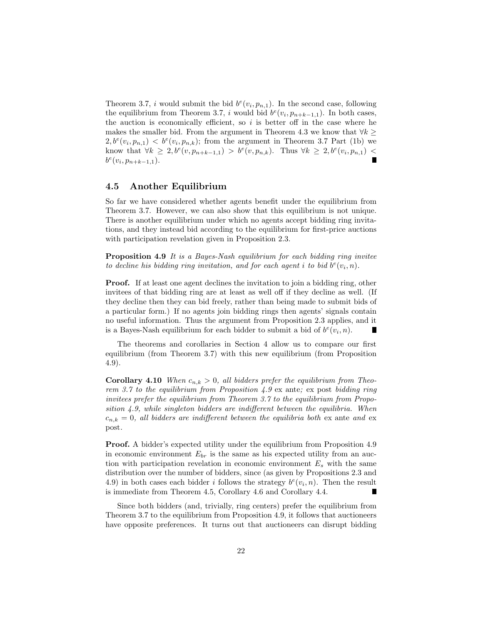Theorem 3.7, *i* would submit the bid  $b^{e}(v_i, p_{n,1})$ . In the second case, following the equilibrium from Theorem 3.7, i would bid  $b^{e}(v_i, p_{n+k-1,1})$ . In both cases, the auction is economically efficient, so  $i$  is better off in the case where he makes the smaller bid. From the argument in Theorem 4.3 we know that  $\forall k \geq$  $2, b^e(v_i, p_{n,1}) < b^e(v_i, p_{n,k})$ ; from the argument in Theorem 3.7 Part (1b) we know that  $\forall k \geq 2, b^e(v, p_{n+k-1,1}) > b^e(v, p_{n,k})$ . Thus  $\forall k \geq 2, b^e(v_i, p_{n,1})$  $b^e(v_i, p_{n+k-1,1}).$ 

#### 4.5 Another Equilibrium

So far we have considered whether agents benefit under the equilibrium from Theorem 3.7. However, we can also show that this equilibrium is not unique. There is another equilibrium under which no agents accept bidding ring invitations, and they instead bid according to the equilibrium for first-price auctions with participation revelation given in Proposition 2.3.

Proposition 4.9 It is a Bayes-Nash equilibrium for each bidding ring invitee to decline his bidding ring invitation, and for each agent i to bid  $b^e(v_i, n)$ .

Proof. If at least one agent declines the invitation to join a bidding ring, other invitees of that bidding ring are at least as well off if they decline as well. (If they decline then they can bid freely, rather than being made to submit bids of a particular form.) If no agents join bidding rings then agents' signals contain no useful information. Thus the argument from Proposition 2.3 applies, and it is a Bayes-Nash equilibrium for each bidder to submit a bid of  $b^e(v_i, n)$ .

The theorems and corollaries in Section 4 allow us to compare our first equilibrium (from Theorem 3.7) with this new equilibrium (from Proposition 4.9).

**Corollary 4.10** When  $c_{n,k} > 0$ , all bidders prefer the equilibrium from Theorem 3.7 to the equilibrium from Proposition 4.9 ex ante; ex post bidding ring invitees prefer the equilibrium from Theorem 3.7 to the equilibrium from Proposition 4.9, while singleton bidders are indifferent between the equilibria. When  $c_{n,k} = 0$ , all bidders are indifferent between the equilibria both ex ante and ex post.

Proof. A bidder's expected utility under the equilibrium from Proposition 4.9 in economic environment  $E_{br}$  is the same as his expected utility from an auction with participation revelation in economic environment  $E_s$  with the same distribution over the number of bidders, since (as given by Propositions 2.3 and 4.9) in both cases each bidder *i* follows the strategy  $b^{e}(v_i, n)$ . Then the result is immediate from Theorem 4.5, Corollary 4.6 and Corollary 4.4. ш

Since both bidders (and, trivially, ring centers) prefer the equilibrium from Theorem 3.7 to the equilibrium from Proposition 4.9, it follows that auctioneers have opposite preferences. It turns out that auctioneers can disrupt bidding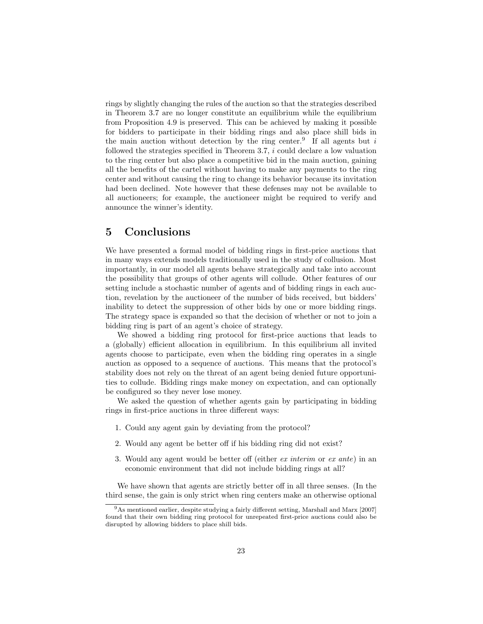rings by slightly changing the rules of the auction so that the strategies described in Theorem 3.7 are no longer constitute an equilibrium while the equilibrium from Proposition 4.9 is preserved. This can be achieved by making it possible for bidders to participate in their bidding rings and also place shill bids in the main auction without detection by the ring center.<sup>9</sup> If all agents but i followed the strategies specified in Theorem 3.7, i could declare a low valuation to the ring center but also place a competitive bid in the main auction, gaining all the benefits of the cartel without having to make any payments to the ring center and without causing the ring to change its behavior because its invitation had been declined. Note however that these defenses may not be available to all auctioneers; for example, the auctioneer might be required to verify and announce the winner's identity.

### 5 Conclusions

We have presented a formal model of bidding rings in first-price auctions that in many ways extends models traditionally used in the study of collusion. Most importantly, in our model all agents behave strategically and take into account the possibility that groups of other agents will collude. Other features of our setting include a stochastic number of agents and of bidding rings in each auction, revelation by the auctioneer of the number of bids received, but bidders' inability to detect the suppression of other bids by one or more bidding rings. The strategy space is expanded so that the decision of whether or not to join a bidding ring is part of an agent's choice of strategy.

We showed a bidding ring protocol for first-price auctions that leads to a (globally) efficient allocation in equilibrium. In this equilibrium all invited agents choose to participate, even when the bidding ring operates in a single auction as opposed to a sequence of auctions. This means that the protocol's stability does not rely on the threat of an agent being denied future opportunities to collude. Bidding rings make money on expectation, and can optionally be configured so they never lose money.

We asked the question of whether agents gain by participating in bidding rings in first-price auctions in three different ways:

- 1. Could any agent gain by deviating from the protocol?
- 2. Would any agent be better off if his bidding ring did not exist?
- 3. Would any agent would be better off (either ex interim or ex ante) in an economic environment that did not include bidding rings at all?

We have shown that agents are strictly better off in all three senses. (In the third sense, the gain is only strict when ring centers make an otherwise optional

<sup>9</sup>As mentioned earlier, despite studying a fairly different setting, Marshall and Marx [2007] found that their own bidding ring protocol for unrepeated first-price auctions could also be disrupted by allowing bidders to place shill bids.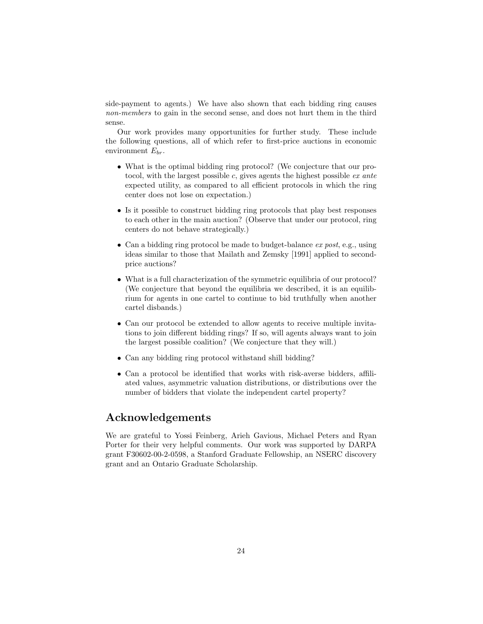side-payment to agents.) We have also shown that each bidding ring causes non-members to gain in the second sense, and does not hurt them in the third sense.

Our work provides many opportunities for further study. These include the following questions, all of which refer to first-price auctions in economic environment  $E_{br}$ .

- What is the optimal bidding ring protocol? (We conjecture that our protocol, with the largest possible c, gives agents the highest possible ex ante expected utility, as compared to all efficient protocols in which the ring center does not lose on expectation.)
- Is it possible to construct bidding ring protocols that play best responses to each other in the main auction? (Observe that under our protocol, ring centers do not behave strategically.)
- Can a bidding ring protocol be made to budget-balance  $ex$  post, e.g., using ideas similar to those that Mailath and Zemsky [1991] applied to secondprice auctions?
- What is a full characterization of the symmetric equilibria of our protocol? (We conjecture that beyond the equilibria we described, it is an equilibrium for agents in one cartel to continue to bid truthfully when another cartel disbands.)
- Can our protocol be extended to allow agents to receive multiple invitations to join different bidding rings? If so, will agents always want to join the largest possible coalition? (We conjecture that they will.)
- Can any bidding ring protocol withstand shill bidding?
- Can a protocol be identified that works with risk-averse bidders, affiliated values, asymmetric valuation distributions, or distributions over the number of bidders that violate the independent cartel property?

### Acknowledgements

We are grateful to Yossi Feinberg, Arieh Gavious, Michael Peters and Ryan Porter for their very helpful comments. Our work was supported by DARPA grant F30602-00-2-0598, a Stanford Graduate Fellowship, an NSERC discovery grant and an Ontario Graduate Scholarship.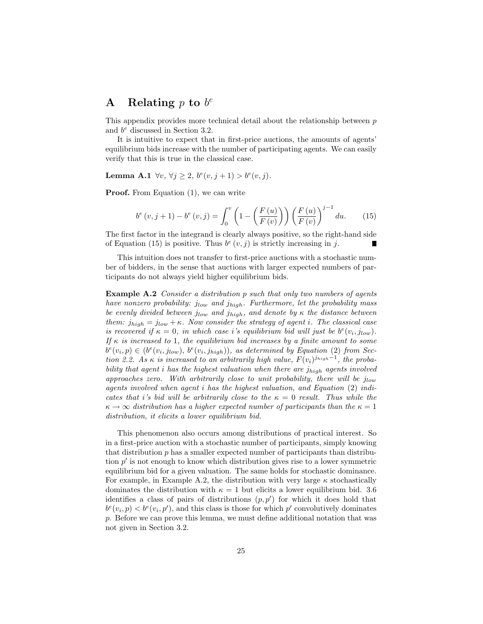# A Relating  $p$  to  $b^e$

This appendix provides more technical detail about the relationship between p and  $b^e$  discussed in Section 3.2.

It is intuitive to expect that in first-price auctions, the amounts of agents' equilibrium bids increase with the number of participating agents. We can easily verify that this is true in the classical case.

Lemma A.1  $\forall v, \forall j \geq 2, b^e(v, j + 1) > b^e(v, j)$ .

Proof. From Equation  $(1)$ , we can write

$$
b^{e}(v, j+1) - b^{e}(v, j) = \int_{0}^{v} \left(1 - \left(\frac{F(u)}{F(v)}\right)\right) \left(\frac{F(u)}{F(v)}\right)^{j-1} du.
$$
 (15)

The first factor in the integrand is clearly always positive, so the right-hand side of Equation (15) is positive. Thus  $b^e(v, j)$  is strictly increasing in j.

This intuition does not transfer to first-price auctions with a stochastic number of bidders, in the sense that auctions with larger expected numbers of participants do not always yield higher equilibrium bids.

Example A.2 Consider a distribution p such that only two numbers of agents have nonzero probability:  $j_{low}$  and  $j_{high}$ . Furthermore, let the probability mass be evenly divided between  $j_{low}$  and  $j_{high}$ , and denote by  $\kappa$  the distance between them:  $j_{high} = j_{low} + \kappa$ . Now consider the strategy of agent i. The classical case is recovered if  $\kappa = 0$ , in which case i's equilibrium bid will just be  $b^{e}(v_i, j_{low})$ . If  $\kappa$  is increased to 1, the equilibrium bid increases by a finite amount to some  $b^e(v_i, p) \in (b^e(v_i, j_{low}), b^e(v_i, j_{high}))$ , as determined by Equation (2) from Section 2.2. As  $\kappa$  is increased to an arbitrarily high value,  $F(v_i)^{j_{high}-1}$ , the probability that agent i has the highest valuation when there are  $j_{high}$  agents involved approaches zero. With arbitrarily close to unit probability, there will be  $j_{low}$ agents involved when agent i has the highest valuation, and Equation (2) indicates that i's bid will be arbitrarily close to the  $\kappa = 0$  result. Thus while the  $\kappa \to \infty$  distribution has a higher expected number of participants than the  $\kappa = 1$ distribution, it elicits a lower equilibrium bid.

This phenomenon also occurs among distributions of practical interest. So in a first-price auction with a stochastic number of participants, simply knowing that distribution p has a smaller expected number of participants than distribution  $p'$  is not enough to know which distribution gives rise to a lower symmetric equilibrium bid for a given valuation. The same holds for stochastic dominance. For example, in Example A.2, the distribution with very large  $\kappa$  stochastically dominates the distribution with  $\kappa = 1$  but elicits a lower equilibrium bid. 3.6 identifies a class of pairs of distributions  $(p, p')$  for which it does hold that  $b^{e}(v_i, p) < b^{e}(v_i, p')$ , and this class is those for which  $p'$  convolutively dominates p. Before we can prove this lemma, we must define additional notation that was not given in Section 3.2.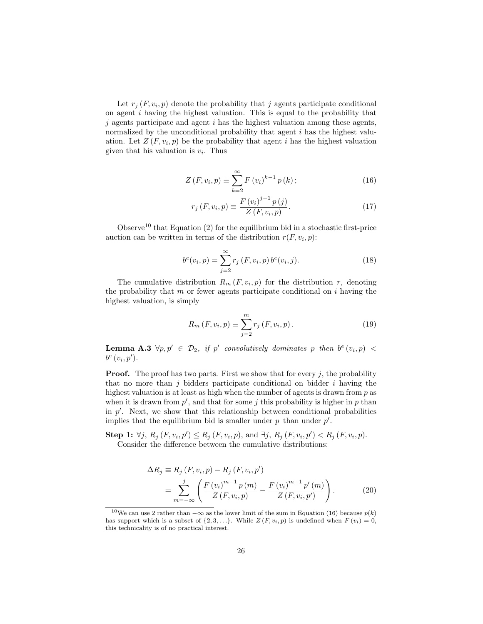Let  $r_j(F, v_i, p)$  denote the probability that j agents participate conditional on agent i having the highest valuation. This is equal to the probability that  $j$  agents participate and agent  $i$  has the highest valuation among these agents, normalized by the unconditional probability that agent i has the highest valuation. Let  $Z(F, v_i, p)$  be the probability that agent i has the highest valuation given that his valuation is  $v_i$ . Thus

$$
Z(F, v_i, p) \equiv \sum_{k=2}^{\infty} F(v_i)^{k-1} p(k); \qquad (16)
$$

$$
r_j(F, v_i, p) \equiv \frac{F(v_i)^{j-1} p(j)}{Z(F, v_i, p)}.
$$
\n(17)

Observe<sup>10</sup> that Equation  $(2)$  for the equilibrium bid in a stochastic first-price auction can be written in terms of the distribution  $r(F, v_i, p)$ :

$$
b^{e}(v_{i}, p) = \sum_{j=2}^{\infty} r_{j} (F, v_{i}, p) b^{e}(v_{i}, j).
$$
 (18)

The cumulative distribution  $R_m(F, v_i, p)$  for the distribution r, denoting the probability that  $m$  or fewer agents participate conditional on  $i$  having the highest valuation, is simply

$$
R_m(F, v_i, p) \equiv \sum_{j=2}^{m} r_j(F, v_i, p).
$$
 (19)

**Lemma A.3**  $\forall p, p' \in \mathcal{D}_2$ , if p' convolutively dominates p then  $b^e(v_i, p)$  <  $b^e(v_i, p').$ 

**Proof.** The proof has two parts. First we show that for every  $j$ , the probability that no more than  $j$  bidders participate conditional on bidder  $i$  having the highest valuation is at least as high when the number of agents is drawn from  $p$  as when it is drawn from  $p'$ , and that for some j this probability is higher in p than in  $p'$ . Next, we show that this relationship between conditional probabilities implies that the equilibrium bid is smaller under  $p$  than under  $p'$ .

**Step 1:**  $\forall j, R_j(F, v_i, p') \leq R_j(F, v_i, p)$ , and  $\exists j, R_j(F, v_i, p') < R_j(F, v_i, p)$ . Consider the difference between the cumulative distributions:

$$
\Delta R_j \equiv R_j (F, v_i, p) - R_j (F, v_i, p') \n= \sum_{m=-\infty}^{j} \left( \frac{F(v_i)^{m-1} p(m)}{Z(F, v_i, p)} - \frac{F(v_i)^{m-1} p'(m)}{Z(F, v_i, p')} \right).
$$
\n(20)

<sup>&</sup>lt;sup>10</sup>We can use 2 rather than  $-\infty$  as the lower limit of the sum in Equation (16) because  $p(k)$ has support which is a subset of  $\{2, 3, \ldots\}$ . While  $Z(F, v_i, p)$  is undefined when  $F(v_i) = 0$ , this technicality is of no practical interest.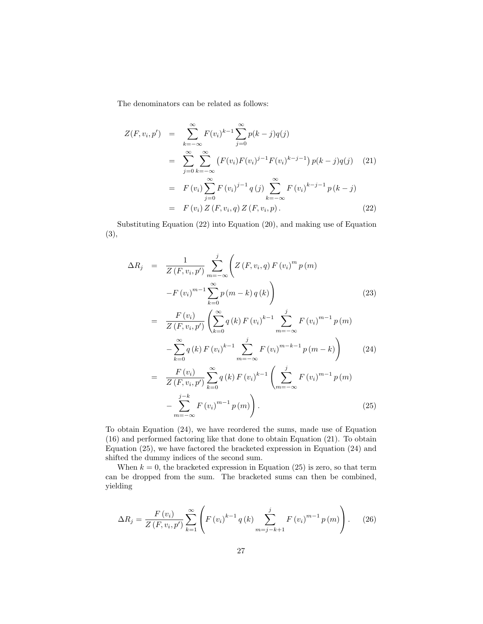The denominators can be related as follows:

$$
Z(F, v_i, p') = \sum_{k=-\infty}^{\infty} F(v_i)^{k-1} \sum_{j=0}^{\infty} p(k-j)q(j)
$$
  
\n
$$
= \sum_{j=0}^{\infty} \sum_{k=-\infty}^{\infty} (F(v_i)F(v_i)^{j-1}F(v_i)^{k-j-1}) p(k-j)q(j) \quad (21)
$$
  
\n
$$
= F(v_i) \sum_{j=0}^{\infty} F(v_i)^{j-1} q(j) \sum_{k=-\infty}^{\infty} F(v_i)^{k-j-1} p(k-j)
$$
  
\n
$$
= F(v_i) Z(F, v_i, q) Z(F, v_i, p).
$$
 (22)

Substituting Equation (22) into Equation (20), and making use of Equation (3),

$$
\Delta R_j = \frac{1}{Z(F, v_i, p')} \sum_{m=-\infty}^{j} \left( Z(F, v_i, q) F(v_i)^m p(m) \right)
$$
  
\n
$$
-F(v_i)^{m-1} \sum_{k=0}^{\infty} p(m-k) q(k) \right)
$$
  
\n
$$
= \frac{F(v_i)}{Z(F, v_i, p')} \left( \sum_{k=0}^{\infty} q(k) F(v_i)^{k-1} \sum_{m=-\infty}^{j} F(v_i)^{m-1} p(m) \right)
$$
  
\n
$$
- \sum_{k=0}^{\infty} q(k) F(v_i)^{k-1} \sum_{m=-\infty}^{j} F(v_i)^{m-k-1} p(m-k) \right)
$$
  
\n
$$
= \frac{F(v_i)}{Z(F, v_i, p')} \sum_{k=0}^{\infty} q(k) F(v_i)^{k-1} \left( \sum_{k=0}^{j} F(v_i)^{m-1} p(m) \right)
$$
  
\n(24)

$$
Z(F, v_i, p') \underset{m=-\infty}{\longrightarrow} F(v_i)^{m-1} p(m) \Bigg\}.
$$
\n
$$
-\sum_{m=-\infty}^{j-k} F(v_i)^{m-1} p(m) \Bigg).
$$
\n(25)

To obtain Equation (24), we have reordered the sums, made use of Equation (16) and performed factoring like that done to obtain Equation (21). To obtain Equation (25), we have factored the bracketed expression in Equation (24) and shifted the dummy indices of the second sum.

When  $k = 0$ , the bracketed expression in Equation (25) is zero, so that term can be dropped from the sum. The bracketed sums can then be combined, yielding

$$
\Delta R_j = \frac{F(v_i)}{Z(F, v_i, p')} \sum_{k=1}^{\infty} \left( F(v_i)^{k-1} q(k) \sum_{m=j-k+1}^{j} F(v_i)^{m-1} p(m) \right). \tag{26}
$$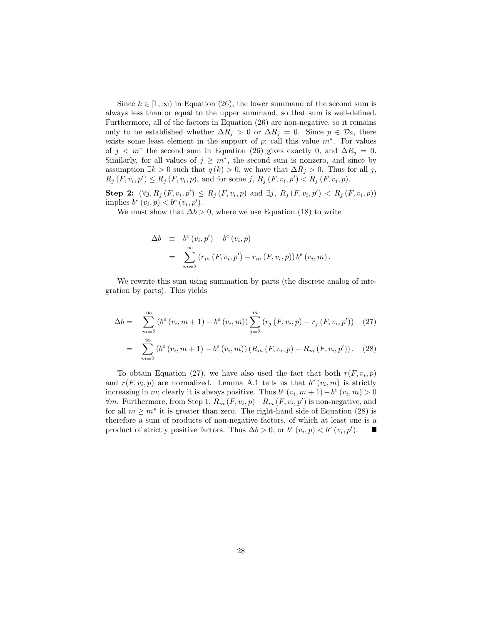Since  $k \in [1,\infty)$  in Equation (26), the lower summand of the second sum is always less than or equal to the upper summand, so that sum is well-defined. Furthermore, all of the factors in Equation (26) are non-negative, so it remains only to be established whether  $\Delta R_j > 0$  or  $\Delta R_j = 0$ . Since  $p \in \mathcal{D}_2$ , there exists some least element in the support of  $p$ ; call this value  $m^*$ . For values of  $j < m^*$  the second sum in Equation (26) gives exactly 0, and  $\Delta R_j = 0$ . Similarly, for all values of  $j \geq m^*$ , the second sum is nonzero, and since by assumption  $\exists k > 0$  such that  $q(k) > 0$ , we have that  $\Delta R_i > 0$ . Thus for all j,  $R_j(F, v_i, p') \leq R_j(F, v_i, p)$ , and for some j,  $R_j(F, v_i, p') < R_j(F, v_i, p)$ .

**Step 2:**  $(\forall j, R_j (F, v_i, p') \le R_j (F, v_i, p) \text{ and } \exists j, R_j (F, v_i, p') < R_j (F, v_i, p))$ implies  $b^e(v_i, p) < b^e(v_i, p')$ .

We must show that  $\Delta b > 0$ , where we use Equation (18) to write

$$
\Delta b = b^{e}(v_{i}, p') - b^{e}(v_{i}, p)
$$
  
= 
$$
\sum_{m=2}^{\infty} (r_{m}(F, v_{i}, p') - r_{m}(F, v_{i}, p)) b^{e}(v_{i}, m).
$$

We rewrite this sum using summation by parts (the discrete analog of integration by parts). This yields

$$
\Delta b = \sum_{m=2}^{\infty} (b^e (v_i, m+1) - b^e (v_i, m)) \sum_{j=2}^m (r_j (F, v_i, p) - r_j (F, v_i, p')) \quad (27)
$$

$$
= \sum_{m=2}^{\infty} (b^e (v_i, m+1) - b^e (v_i, m)) (R_m (F, v_i, p) - R_m (F, v_i, p')). \quad (28)
$$

To obtain Equation (27), we have also used the fact that both  $r(F, v_i, p)$ and  $r(F, v_i, p)$  are normalized. Lemma A.1 tells us that  $b^e(v_i, m)$  is strictly increasing in m; clearly it is always positive. Thus  $b^e(v_i, m+1) - b^e(v_i, m) > 0$  $\forall m$ . Furthermore, from Step 1,  $R_m(F, v_i, p) - R_m(F, v_i, p')$  is non-negative, and for all  $m \geq m^*$  it is greater than zero. The right-hand side of Equation (28) is therefore a sum of products of non-negative factors, of which at least one is a product of strictly positive factors. Thus  $\Delta b > 0$ , or  $b^e(v_i, p) < b^e(v_i, p')$ . Ш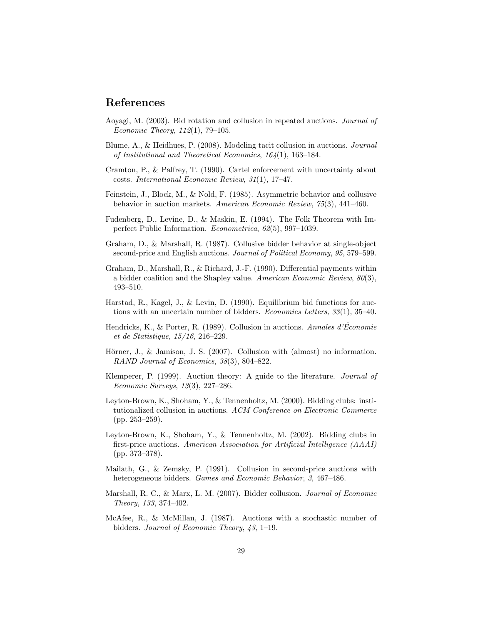### References

- Aoyagi, M. (2003). Bid rotation and collusion in repeated auctions. Journal of Economic Theory, 112(1), 79–105.
- Blume, A., & Heidhues, P. (2008). Modeling tacit collusion in auctions. Journal of Institutional and Theoretical Economics, 164(1), 163–184.
- Cramton, P., & Palfrey, T. (1990). Cartel enforcement with uncertainty about costs. International Economic Review, 31(1), 17–47.
- Feinstein, J., Block, M., & Nold, F. (1985). Asymmetric behavior and collusive behavior in auction markets. American Economic Review, 75(3), 441–460.
- Fudenberg, D., Levine, D., & Maskin, E. (1994). The Folk Theorem with Imperfect Public Information. Econometrica, 62(5), 997–1039.
- Graham, D., & Marshall, R. (1987). Collusive bidder behavior at single-object second-price and English auctions. Journal of Political Economy, 95, 579–599.
- Graham, D., Marshall, R., & Richard, J.-F. (1990). Differential payments within a bidder coalition and the Shapley value. American Economic Review, 80(3), 493–510.
- Harstad, R., Kagel, J., & Levin, D. (1990). Equilibrium bid functions for auctions with an uncertain number of bidders. Economics Letters, 33(1), 35–40.
- Hendricks, K., & Porter, R. (1989). Collusion in auctions. Annales d'Économie et de Statistique, 15/16, 216–229.
- Hörner, J., & Jamison, J. S.  $(2007)$ . Collusion with  $(\text{almost})$  no information. RAND Journal of Economics, 38(3), 804–822.
- Klemperer, P. (1999). Auction theory: A guide to the literature. Journal of Economic Surveys, 13(3), 227–286.
- Leyton-Brown, K., Shoham, Y., & Tennenholtz, M. (2000). Bidding clubs: institutionalized collusion in auctions. ACM Conference on Electronic Commerce (pp. 253–259).
- Leyton-Brown, K., Shoham, Y., & Tennenholtz, M. (2002). Bidding clubs in first-price auctions. American Association for Artificial Intelligence (AAAI) (pp. 373–378).
- Mailath, G., & Zemsky, P. (1991). Collusion in second-price auctions with heterogeneous bidders. *Games and Economic Behavior*, 3, 467–486.
- Marshall, R. C., & Marx, L. M. (2007). Bidder collusion. Journal of Economic Theory, 133, 374–402.
- McAfee, R., & McMillan, J. (1987). Auctions with a stochastic number of bidders. Journal of Economic Theory, 43, 1–19.